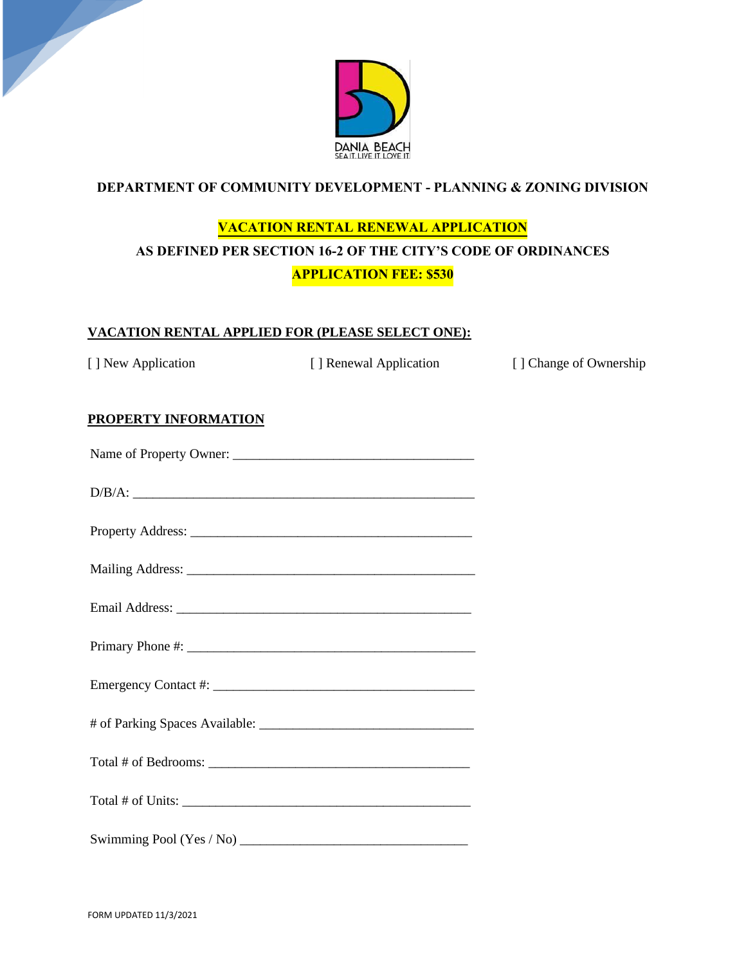

## **DEPARTMENT OF COMMUNITY DEVELOPMENT - PLANNING & ZONING DIVISION**

# **VACATION RENTAL RENEWAL APPLICATION AS DEFINED PER SECTION 16-2 OF THE CITY'S CODE OF ORDINANCES APPLICATION FEE: \$530**

#### **VACATION RENTAL APPLIED FOR (PLEASE SELECT ONE):**

[ ] New Application [ ] Renewal Application [ ] Change of Ownership

## **PROPERTY INFORMATION**

| D/B/A: |
|--------|
|        |
|        |
|        |
|        |
|        |
|        |
|        |
|        |
|        |